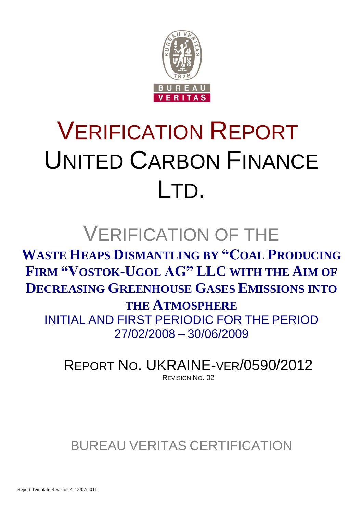

# VERIFICATION REPORT UNITED CARBON FINANCE LTD.

## VERIFICATION OF THE

**WASTE HEAPS DISMANTLING BY "COAL PRODUCING FIRM "VOSTOK-UGOL AG" LLC WITH THE AIM OF DECREASING GREENHOUSE GASES EMISSIONS INTO** 

**THE ATMOSPHERE**

INITIAL AND FIRST PERIODIC FOR THE PERIOD 27/02/2008 – 30/06/2009

REPORT NO. UKRAINE-VER/0590/2012 REVISION NO. 02

BUREAU VERITAS CERTIFICATION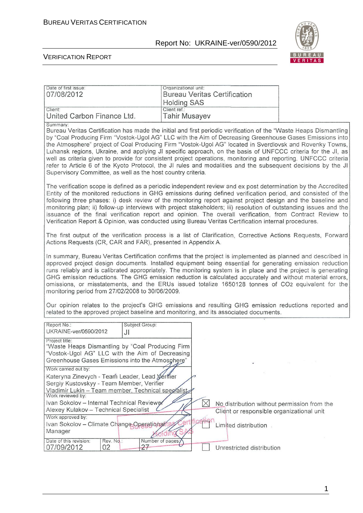

#### VERIFICATION REPORT

| Date of first issue:<br>07/08/2012                                                                                                                                                               | Organizational unit:<br><b>Bureau Veritas Certification</b>                                                                                                                                                                                                                                                                                                                                                                                                                                                                                                                                                                                                                               |
|--------------------------------------------------------------------------------------------------------------------------------------------------------------------------------------------------|-------------------------------------------------------------------------------------------------------------------------------------------------------------------------------------------------------------------------------------------------------------------------------------------------------------------------------------------------------------------------------------------------------------------------------------------------------------------------------------------------------------------------------------------------------------------------------------------------------------------------------------------------------------------------------------------|
|                                                                                                                                                                                                  | <b>Holding SAS</b>                                                                                                                                                                                                                                                                                                                                                                                                                                                                                                                                                                                                                                                                        |
| Client:                                                                                                                                                                                          | Client ref.:                                                                                                                                                                                                                                                                                                                                                                                                                                                                                                                                                                                                                                                                              |
| United Carbon Finance Ltd.                                                                                                                                                                       | <b>Tahir Musayev</b>                                                                                                                                                                                                                                                                                                                                                                                                                                                                                                                                                                                                                                                                      |
| Summary:<br>Supervisory Committee, as well as the host country criteria.                                                                                                                         | Bureau Veritas Certification has made the initial and first periodic verification of the "Waste Heaps Dismantling<br>by "Coal Producing Firm "Vostok-Ugol AG" LLC with the Aim of Decreasing Greenhouse Gases Emissions into<br>the Atmosphere" project of Coal Producing Firm "Vostok-Ugol AG" located in Sverdlovsk and Rovenky Towns,<br>Luhansk regions, Ukraine, and applying JI specific approach, on the basis of UNFCCC criteria for the JI, as<br>well as criteria given to provide for consistent project operations, monitoring and reporting. UNFCCC criteria<br>refer to Article 6 of the Kyoto Protocol, the JI rules and modalities and the subsequent decisions by the JI |
|                                                                                                                                                                                                  | The verification scope is defined as a periodic independent review and ex post determination by the Accredited<br>Entity of the monitored reductions in GHG emissions during defined verification period, and consisted of the<br>following three phases: i) desk review of the monitoring report against project design and the baseline and<br>monitoring plan; ii) follow-up interviews with project stakeholders; iii) resolution of outstanding issues and the<br>issuance of the final verification report and opinion. The overall verification, from Contract Review to<br>Verification Report & Opinion, was conducted using Bureau Veritas Certification internal procedures.   |
| Actions Requests (CR, CAR and FAR), presented in Appendix A.                                                                                                                                     | The first output of the verification process is a list of Clarification, Corrective Actions Requests, Forward                                                                                                                                                                                                                                                                                                                                                                                                                                                                                                                                                                             |
| monitoring period from 27/02/2008 to 30/06/2009.                                                                                                                                                 | In summary, Bureau Veritas Certification confirms that the project is implemented as planned and described in<br>approved project design documents. Installed equipment being essential for generating emission reduction<br>runs reliably and is calibrated appropriately. The monitoring system is in place and the project is generating<br>GHG emission reductions. The GHG emission reduction is calculated accurately and without material errors,<br>omissions, or misstatements, and the ERUs issued totalize 1650128 tonnes of CO2 equivalent for the                                                                                                                            |
|                                                                                                                                                                                                  | Our opinion relates to the project's GHG emissions and resulting GHG emission reductions reported and<br>related to the approved project baseline and monitoring, and its associated documents.                                                                                                                                                                                                                                                                                                                                                                                                                                                                                           |
| Report No.:<br>Subject Group:<br>UKRAINE-ver/0590/2012<br>JI                                                                                                                                     |                                                                                                                                                                                                                                                                                                                                                                                                                                                                                                                                                                                                                                                                                           |
| Project title:<br>"Waste Heaps Dismantling by "Coal Producing Firm<br>"Vostok-Ugol AG" LLC with the Aim of Decreasing<br>Greenhouse Gases Emissions into the Atmosphere"<br>Work carried out by: | $\sim 1.2$                                                                                                                                                                                                                                                                                                                                                                                                                                                                                                                                                                                                                                                                                |
| Kateryna Zinevych - Team Leader, Lead Xerifier<br>Sergiy Kustovskyy - Team Member, Verifier<br>Vladimir Lukin - Team member, Technical specialist<br>Work reviewed by:                           |                                                                                                                                                                                                                                                                                                                                                                                                                                                                                                                                                                                                                                                                                           |
| Ivan Sokolov - Internal Technical Reviewer                                                                                                                                                       | $\times$<br>No distribution without permission from the                                                                                                                                                                                                                                                                                                                                                                                                                                                                                                                                                                                                                                   |
| Alexey Kulakov - Technical Specialist                                                                                                                                                            | Client or responsible organizational unit                                                                                                                                                                                                                                                                                                                                                                                                                                                                                                                                                                                                                                                 |
| Work approved by:                                                                                                                                                                                |                                                                                                                                                                                                                                                                                                                                                                                                                                                                                                                                                                                                                                                                                           |
| Ivan Sokolov - Climate Change Operationality                                                                                                                                                     | Limited distribution.                                                                                                                                                                                                                                                                                                                                                                                                                                                                                                                                                                                                                                                                     |
| Manager                                                                                                                                                                                          |                                                                                                                                                                                                                                                                                                                                                                                                                                                                                                                                                                                                                                                                                           |
| Date of this revision:<br>Rev. No.:<br>27<br>07/09/2012<br>02                                                                                                                                    | Number of pages;<br>Unrestricted distribution                                                                                                                                                                                                                                                                                                                                                                                                                                                                                                                                                                                                                                             |

1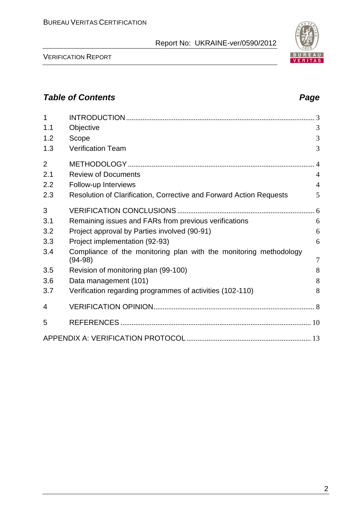VERIFICATION REPORT

| 1<br>1.1       | Objective                                                                      | 3              |
|----------------|--------------------------------------------------------------------------------|----------------|
| 1.2            | Scope                                                                          | 3              |
| 1.3            | <b>Verification Team</b>                                                       | 3              |
|                |                                                                                |                |
| $\overline{2}$ |                                                                                | $\overline{4}$ |
| 2.1            | <b>Review of Documents</b>                                                     | $\overline{4}$ |
| 2.2            | Follow-up Interviews                                                           | $\overline{4}$ |
| 2.3            | Resolution of Clarification, Corrective and Forward Action Requests            | 5              |
| 3              |                                                                                |                |
| 3.1            | Remaining issues and FARs from previous verifications                          | 6              |
| 3.2            | Project approval by Parties involved (90-91)                                   | 6              |
| 3.3            | Project implementation (92-93)                                                 | 6              |
| 3.4            | Compliance of the monitoring plan with the monitoring methodology<br>$(94-98)$ | $\overline{7}$ |
| 3.5            | Revision of monitoring plan (99-100)                                           | 8              |
| 3.6            | Data management (101)                                                          | 8              |
| 3.7            | Verification regarding programmes of activities (102-110)                      | 8              |
| 4              |                                                                                |                |
| 5              |                                                                                |                |
|                |                                                                                |                |

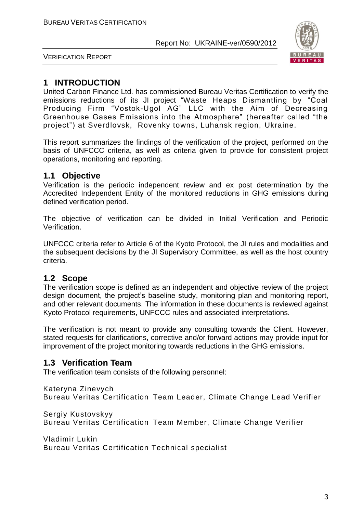

VERIFICATION REPORT

#### **1 INTRODUCTION**

United Carbon Finance Ltd. has commissioned Bureau Veritas Certification to verify the emissions reductions of its JI project "Waste Heaps Dismantling by "Coal Producing Firm "Vostok-Ugol AG" LLC with the Aim of Decreasing Greenhouse Gases Emissions into the Atmosphere" (hereafter called "the project") at Sverdlovsk, Rovenky towns, Luhansk region, Ukraine.

This report summarizes the findings of the verification of the project, performed on the basis of UNFCCC criteria, as well as criteria given to provide for consistent project operations, monitoring and reporting.

#### **1.1 Objective**

Verification is the periodic independent review and ex post determination by the Accredited Independent Entity of the monitored reductions in GHG emissions during defined verification period.

The objective of verification can be divided in Initial Verification and Periodic Verification.

UNFCCC criteria refer to Article 6 of the Kyoto Protocol, the JI rules and modalities and the subsequent decisions by the JI Supervisory Committee, as well as the host country criteria.

#### **1.2 Scope**

The verification scope is defined as an independent and objective review of the project design document, the project's baseline study, monitoring plan and monitoring report, and other relevant documents. The information in these documents is reviewed against Kyoto Protocol requirements, UNFCCC rules and associated interpretations.

The verification is not meant to provide any consulting towards the Client. However, stated requests for clarifications, corrective and/or forward actions may provide input for improvement of the project monitoring towards reductions in the GHG emissions.

#### **1.3 Verification Team**

The verification team consists of the following personnel:

Kateryna Zinevych Bureau Veritas Certification Team Leader, Climate Change Lead Verifier

Sergiy Kustovskyy Bureau Veritas Certification Team Member, Climate Change Verifier

Vladimir Lukin Bureau Veritas Certification Technical specialist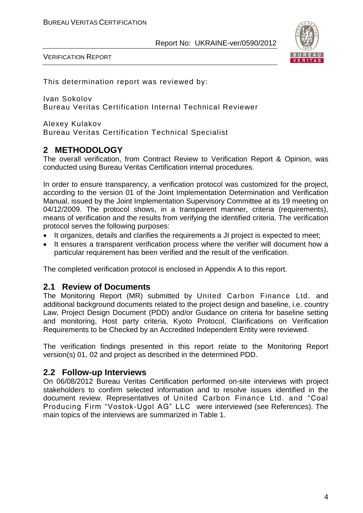

VERIFICATION REPORT

This determination report was reviewed by:

Ivan Sokolov Bureau Veritas Certification Internal Technical Reviewer

Alexey Kulakov Bureau Veritas Certification Technical Specialist

#### **2 METHODOLOGY**

The overall verification, from Contract Review to Verification Report & Opinion, was conducted using Bureau Veritas Certification internal procedures.

In order to ensure transparency, a verification protocol was customized for the project, according to the version 01 of the Joint Implementation Determination and Verification Manual, issued by the Joint Implementation Supervisory Committee at its 19 meeting on 04/12/2009. The protocol shows, in a transparent manner, criteria (requirements), means of verification and the results from verifying the identified criteria. The verification protocol serves the following purposes:

- It organizes, details and clarifies the requirements a JI project is expected to meet;
- It ensures a transparent verification process where the verifier will document how a particular requirement has been verified and the result of the verification.

The completed verification protocol is enclosed in Appendix A to this report.

#### **2.1 Review of Documents**

The Monitoring Report (MR) submitted by United Carbon Finance Ltd. and additional background documents related to the project design and baseline, i.e. country Law, Project Design Document (PDD) and/or Guidance on criteria for baseline setting and monitoring, Host party criteria, Kyoto Protocol, Clarifications on Verification Requirements to be Checked by an Accredited Independent Entity were reviewed.

The verification findings presented in this report relate to the Monitoring Report version(s) 01, 02 and project as described in the determined PDD.

#### **2.2 Follow-up Interviews**

On 06/08/2012 Bureau Veritas Certification performed on-site interviews with project stakeholders to confirm selected information and to resolve issues identified in the document review. Representatives of United Carbon Finance Ltd. and "Coal Producing Firm "Vostok-Ugol AG" LLC were interviewed (see References). The main topics of the interviews are summarized in Table 1.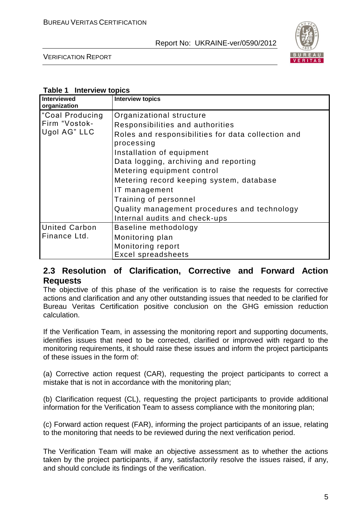

VERIFICATION REPORT

#### **Table 1 Interview topics**

| Interviewed<br>organization                                  | <b>Interview topics</b>                                                                                                                                                                                |
|--------------------------------------------------------------|--------------------------------------------------------------------------------------------------------------------------------------------------------------------------------------------------------|
| Coal Producing <sup>1</sup><br>Firm "Vostok-<br>Ugol AG" LLC | Organizational structure<br>Responsibilities and authorities<br>Roles and responsibilities for data collection and<br>processing<br>Installation of equipment<br>Data logging, archiving and reporting |
|                                                              | Metering equipment control<br>Metering record keeping system, database<br>IT management<br>Training of personnel<br>Quality management procedures and technology<br>Internal audits and check-ups      |
| <b>United Carbon</b><br>Finance Ltd.                         | Baseline methodology<br>Monitoring plan<br>Monitoring report<br><b>Excel spreadsheets</b>                                                                                                              |

#### **2.3 Resolution of Clarification, Corrective and Forward Action Requests**

The objective of this phase of the verification is to raise the requests for corrective actions and clarification and any other outstanding issues that needed to be clarified for Bureau Veritas Certification positive conclusion on the GHG emission reduction calculation.

If the Verification Team, in assessing the monitoring report and supporting documents, identifies issues that need to be corrected, clarified or improved with regard to the monitoring requirements, it should raise these issues and inform the project participants of these issues in the form of:

(a) Corrective action request (CAR), requesting the project participants to correct a mistake that is not in accordance with the monitoring plan;

(b) Clarification request (CL), requesting the project participants to provide additional information for the Verification Team to assess compliance with the monitoring plan;

(c) Forward action request (FAR), informing the project participants of an issue, relating to the monitoring that needs to be reviewed during the next verification period.

The Verification Team will make an objective assessment as to whether the actions taken by the project participants, if any, satisfactorily resolve the issues raised, if any, and should conclude its findings of the verification.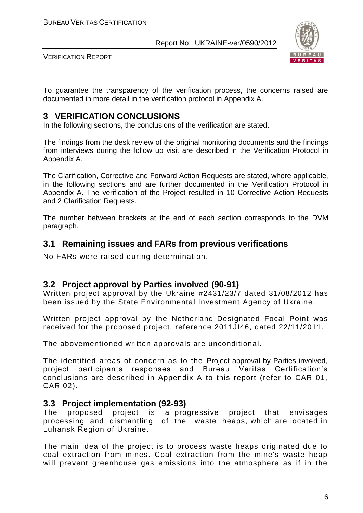

VERIFICATION REPORT

To guarantee the transparency of the verification process, the concerns raised are documented in more detail in the verification protocol in Appendix A.

#### **3 VERIFICATION CONCLUSIONS**

In the following sections, the conclusions of the verification are stated.

The findings from the desk review of the original monitoring documents and the findings from interviews during the follow up visit are described in the Verification Protocol in Appendix A.

The Clarification, Corrective and Forward Action Requests are stated, where applicable, in the following sections and are further documented in the Verification Protocol in Appendix A. The verification of the Project resulted in 10 Corrective Action Requests and 2 Clarification Requests.

The number between brackets at the end of each section corresponds to the DVM paragraph.

#### **3.1 Remaining issues and FARs from previous verifications**

No FARs were raised during determination.

#### **3.2 Project approval by Parties involved (90-91)**

Written project approval by the Ukraine #2431/23/7 dated 31/08/2012 has been issued by the State Environmental Investment Agency of Ukraine.

Written project approval by the Netherland Designated Focal Point was received for the proposed project, reference 2011JI46, dated 22/11/2011.

The abovementioned written approvals are unconditional.

The identified areas of concern as to the Project approval by Parties involved, project participants responses and Bureau Veritas Certification's conclusions are described in Appendix A to this report (refer to CAR 01, CAR 02).

#### **3.3 Project implementation (92-93)**

The proposed project is a progressive project that envisages processing and dismantling of the waste heaps, which are located in Luhansk Region of Ukraine.

The main idea of the project is to process waste heaps originated due to coal extraction from mines. Coal extraction from the mine's waste heap will prevent greenhouse gas emissions into the atmosphere as if in the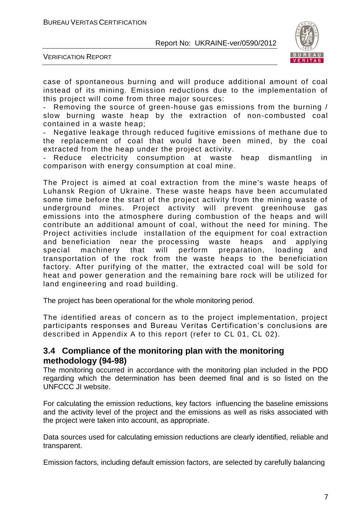

VERIFICATION REPORT

case of spontaneous burning and will produce additional amount of coal instead of its mining. Emission reductions due to the implementation of this project will come from three major sources:

- Removing the source of green-house gas emissions from the burning / slow burning waste heap by the extraction of non-combusted coal contained in a waste heap;

Negative leakage through reduced fugitive emissions of methane due to the replacement of coal that would have been mined, by the coal extracted from the heap under the project activity.

Reduce electricity consumption at waste heap dismantling in comparison with energy consumption at coal mine.

The Project is aimed at coal extraction from the mine's waste heaps of Luhansk Region of Ukraine. These waste heaps have been accumulated some time before the start of the project activity from the mining waste of underground mines. Project activity will prevent greenhouse gas emissions into the atmosphere during combustion of the heaps and will contribute an additional amount of coal, without the need for mining. The Project activities include installation of the equipment for coal extraction and beneficiation near the processing waste heaps and applying special machinery that will perform preparation, loading and transportation of the rock from the waste heaps to the beneficiation factory. After purifying of the matter, the extracted coal will be sold for heat and power generation and the remaining bare rock will be utilized for land engineering and road building.

The project has been operational for the whole monitoring period.

The identified areas of concern as to the project implementation, project participants responses and Bureau Veritas Certification's conclusions are described in Appendix A to this report (refer to CL 01, CL 02).

#### **3.4 Compliance of the monitoring plan with the monitoring methodology (94-98)**

The monitoring occurred in accordance with the monitoring plan included in the PDD regarding which the determination has been deemed final and is so listed on the UNFCCC JI website.

For calculating the emission reductions, key factors influencing the baseline emissions and the activity level of the project and the emissions as well as risks associated with the project were taken into account, as appropriate.

Data sources used for calculating emission reductions are clearly identified, reliable and transparent.

Emission factors, including default emission factors, are selected by carefully balancing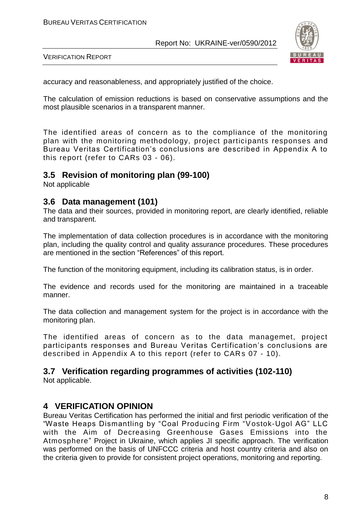

VERIFICATION REPORT

accuracy and reasonableness, and appropriately justified of the choice.

The calculation of emission reductions is based on conservative assumptions and the most plausible scenarios in a transparent manner.

The identified areas of concern as to the compliance of the monitoring plan with the monitoring methodology, project participants responses and Bureau Veritas Certification's conclusions are described in Appendix A to this report (refer to CARs 03 - 06).

#### **3.5 Revision of monitoring plan (99-100)**

Not applicable

#### **3.6 Data management (101)**

The data and their sources, provided in monitoring report, are clearly identified, reliable and transparent.

The implementation of data collection procedures is in accordance with the monitoring plan, including the quality control and quality assurance procedures. These procedures are mentioned in the section "References" of this report.

The function of the monitoring equipment, including its calibration status, is in order.

The evidence and records used for the monitoring are maintained in a traceable manner.

The data collection and management system for the project is in accordance with the monitoring plan.

The identified areas of concern as to the data managemet, project participants responses and Bureau Veritas Certification's conclusions are described in Appendix A to this report (refer to CARs 07 - 10).

#### **3.7 Verification regarding programmes of activities (102-110)**

Not applicable.

#### **4 VERIFICATION OPINION**

Bureau Veritas Certification has performed the initial and first periodic verification of the "Waste Heaps Dismantling by "Coal Producing Firm "Vostok-Ugol AG" LLC with the Aim of Decreasing Greenhouse Gases Emissions into the Atmosphere" Project in Ukraine, which applies JI specific approach. The verification was performed on the basis of UNFCCC criteria and host country criteria and also on the criteria given to provide for consistent project operations, monitoring and reporting.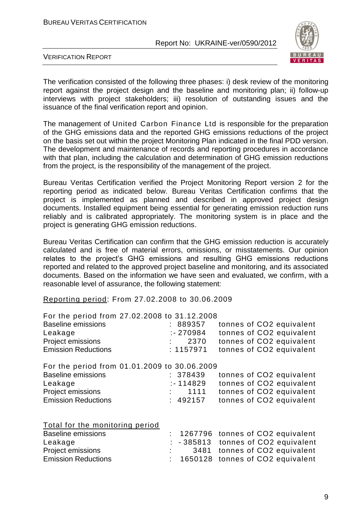

VERIFICATION REPORT

The verification consisted of the following three phases: i) desk review of the monitoring report against the project design and the baseline and monitoring plan; ii) follow-up interviews with project stakeholders; iii) resolution of outstanding issues and the issuance of the final verification report and opinion.

The management of United Carbon Finance Ltd is responsible for the preparation of the GHG emissions data and the reported GHG emissions reductions of the project on the basis set out within the project Monitoring Plan indicated in the final PDD version. The development and maintenance of records and reporting procedures in accordance with that plan, including the calculation and determination of GHG emission reductions from the project, is the responsibility of the management of the project.

Bureau Veritas Certification verified the Project Monitoring Report version 2 for the reporting period as indicated below. Bureau Veritas Certification confirms that the project is implemented as planned and described in approved project design documents. Installed equipment being essential for generating emission reduction runs reliably and is calibrated appropriately. The monitoring system is in place and the project is generating GHG emission reductions.

Bureau Veritas Certification can confirm that the GHG emission reduction is accurately calculated and is free of material errors, omissions, or misstatements. Our opinion relates to the project's GHG emissions and resulting GHG emissions reductions reported and related to the approved project baseline and monitoring, and its associated documents. Based on the information we have seen and evaluated, we confirm, with a reasonable level of assurance, the following statement:

Reporting period: From 27.02.2008 to 30.06.2009

| For the period from 27.02.2008 to 31.12.2008 |                          |
|----------------------------------------------|--------------------------|
| : 889357                                     | tonnes of CO2 equivalent |
| $: -270984$                                  | tonnes of CO2 equivalent |
| 2370                                         | tonnes of CO2 equivalent |
| : 1157971                                    | tonnes of CO2 equivalent |
| For the period from 01.01.2009 to 30.06.2009 |                          |
| : 378439                                     | tonnes of CO2 equivalent |
| $: -114829$                                  | tonnes of CO2 equivalent |
| 1111                                         | tonnes of CO2 equivalent |
| : 492157                                     | tonnes of CO2 equivalent |
|                                              |                          |
|                                              |                          |

|  | Total for the monitoring period |  |
|--|---------------------------------|--|
|  |                                 |  |

| <b>Baseline emissions</b>  |  | : 1267796 tonnes of CO2 equivalent   |
|----------------------------|--|--------------------------------------|
| Leakage                    |  | $: -385813$ tonnes of CO2 equivalent |
| <b>Project emissions</b>   |  | 3481 tonnes of CO2 equivalent        |
| <b>Emission Reductions</b> |  | : 1650128 tonnes of CO2 equivalent   |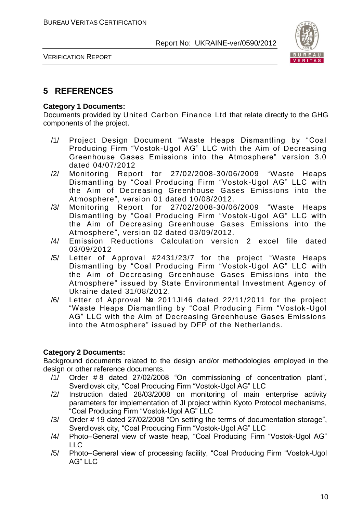

VERIFICATION REPORT

#### **5 REFERENCES**

#### **Category 1 Documents:**

Documents provided by United Carbon Finance Ltd that relate directly to the GHG components of the project.

- /1/ Project Design Document "Waste Heaps Dismantling by "Coal Producing Firm "Vostok-Ugol AG" LLC with the Aim of Decreasing Greenhouse Gases Emissions into the Atmosphere" version 3.0 dated 04/07/2012
- /2/ Monitoring Report for 27/02/2008-30/06/2009 "Waste Heaps Dismantling by "Coal Producing Firm "Vostok -Ugol AG" LLC with the Aim of Decreasing Greenhouse Gases Emissions into the Atmosphere", version 01 dated 10/08/2012.
- /3/ Monitoring Report for 27/02/2008-30/06/2009 "Waste Heaps Dismantling by "Coal Producing Firm "Vostok -Ugol AG" LLC with the Aim of Decreasing Greenhouse Gases Emissions into the Atmosphere", version 02 dated 03/09/2012.
- /4/ Emission Reductions Calculation version 2 excel file dated 03/09/2012
- /5/ Letter of Approval #2431/23/7 for the project "Waste Heaps Dismantling by "Coal Producing Firm "Vostok -Ugol AG" LLC with the Aim of Decreasing Greenhouse Gases Emissions into the Atmosphere" issued by State Environmental Investment Agency of Ukraine dated 31/08/2012.
- /6/ Letter of Approval № 2011JI46 dated 22/11/2011 for the project "Waste Heaps Dismantling by "Coal Producing Firm "Vostok -Ugol AG" LLC with the Aim of Decreasing Greenhouse Gases Emissions into the Atmosphere" issued by DFP of the Netherlands.

#### **Category 2 Documents:**

Background documents related to the design and/or methodologies employed in the design or other reference documents.

- /1/ Order # 8 dated 27/02/2008 "On commissioning of concentration plant", Sverdlovsk city, "Coal Producing Firm "Vostok-Ugol AG" LLC
- /2/ Instruction dated 28/03/2008 on monitoring of main enterprise activity parameters for implementation of JI project within Kyoto Protocol mechanisms, "Coal Producing Firm "Vostok-Ugol AG" LLC
- /3/ Order # 19 dated 27/02/2008 "On setting the terms of documentation storage", Sverdlovsk city, "Coal Producing Firm "Vostok-Ugol AG" LLC
- /4/ Photo–General view of waste heap, "Coal Producing Firm "Vostok-Ugol AG"  $\sqcup$  C
- /5/ Photo–General view of processing facility, "Coal Producing Firm "Vostok-Ugol AG" LLC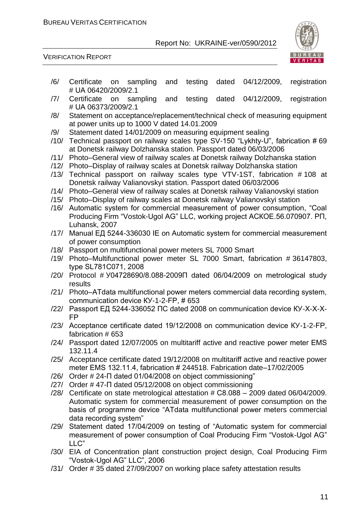

VERIFICATION REPORT

- /6/ Certificate on sampling and testing dated 04/12/2009, registration # UА 06420/2009/2.1
- /7/ Certificate on sampling and testing dated 04/12/2009, registration # UА 06373/2009/2.1
- /8/ Statement on acceptance/replacement/technical check of measuring equipment at power units up to 1000 V dated 14.01.2009
- /9/ Statement dated 14/01/2009 on measuring equipment sealing
- /10/ Technical passport on railway scales type SV-150 "Lykhty-U", fabrication # 69 at Donetsk railway Dolzhanska station. Passport dated 06/03/2006
- /11/ Photo–General view of railway scales at Donetsk railway Dolzhanska station
- /12/ Photo–Display of railway scales at Donetsk railway Dolzhanska station
- /13/ Technical passport on railway scales type VTV-1ST, fabrication # 108 at Donetsk railway Valianovskyi station. Passport dated 06/03/2006
- /14/ Photo–General view of railway scales at Donetsk railway Valianovskyi station
- /15/ Photo–Display of railway scales at Donetsk railway Valianovskyi station
- /16/ Automatic system for commercial measurement of power consumption, "Coal Producing Firm "Vostok-Ugol AG" LLC, working project АСКОЕ.56.070907. РП, Luhansk, 2007
- /17/ Manual ЕД 5244-336030 ІЕ on Automatic system for commercial measurement of power consumption
- /18/ Passport on multifunctional power meters SL 7000 Smart
- /19/ Photo–Multifunctional power meter SL 7000 Smart, fabrication # 36147803, type SL781С071, 2008
- /20/ Protocol # У04728690/8.088-2009П dated 06/04/2009 on metrological study results
- /21/ Photo–АТdаta multifunctional power meters commercial data recording system, communication device КУ-1-2-FР, # 653
- /22/ Passport ЕД 5244-336052 ПС dated 2008 on communication device КУ-Х-Х-Х-FР
- /23/ Acceptance certificate dated 19/12/2008 on communication device КУ-1-2-FР, fabrication # 653
- /24/ Passport dated 12/07/2005 on multitariff active and reactive power meter ЕМS 132.11.4
- /25/ Acceptance certificate dated 19/12/2008 on multitariff active and reactive power meter ЕМS 132.11.4, fabrication # 244518. Fabrication date–17/02/2005
- /26/ Order # 24-П dated 01/04/2008 on object commissioning"
- /27/ Order # 47-П dated 05/12/2008 on object commissioning
- /28/ Certificate on state metrological attestation # С8.088 2009 dated 06/04/2009. Automatic system for commercial measurement of power consumption on the basis of programme device "АТdаta multifunctional power meters commercial data recording system"
- /29/ Statement dated 17/04/2009 on testing of "Automatic system for commercial measurement of power consumption of Coal Producing Firm "Vostok-Ugol AG" LLC"
- /30/ EIA of Concentration plant construction project design, Coal Producing Firm "Vostok-Ugol AG" LLC", 2006
- /31/ Order # 35 dated 27/09/2007 on working place safety attestation results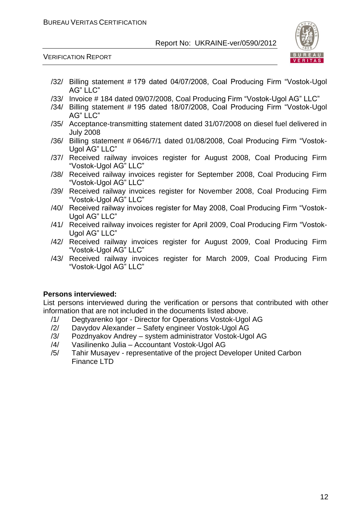

VERIFICATION REPORT

- /32/ Billing statement # 179 dated 04/07/2008, Coal Producing Firm "Vostok-Ugol AG" LLC"
- /33/ Invoice # 184 dated 09/07/2008, Coal Producing Firm "Vostok-Ugol AG" LLC"
- /34/ Billing statement # 195 dated 18/07/2008, Coal Producing Firm "Vostok-Ugol AG" LLC"
- /35/ Acceptance-transmitting statement dated 31/07/2008 on diesel fuel delivered in July 2008
- /36/ Billing statement # 0646/7/1 dated 01/08/2008, Coal Producing Firm "Vostok-Ugol AG" LLC"
- /37/ Received railway invoices register for August 2008, Coal Producing Firm "Vostok-Ugol AG" LLC"
- /38/ Received railway invoices register for September 2008, Coal Producing Firm "Vostok-Ugol AG" LLC"
- /39/ Received railway invoices register for November 2008, Coal Producing Firm "Vostok-Ugol AG" LLC"
- /40/ Received railway invoices register for May 2008, Coal Producing Firm "Vostok-Ugol AG" LLC"
- /41/ Received railway invoices register for April 2009, Coal Producing Firm "Vostok-Ugol AG" LLC"
- /42/ Received railway invoices register for August 2009, Coal Producing Firm "Vostok-Ugol AG" LLC"
- /43/ Received railway invoices register for March 2009, Coal Producing Firm "Vostok-Ugol AG" LLC"

#### **Persons interviewed:**

List persons interviewed during the verification or persons that contributed with other information that are not included in the documents listed above.

- /1/ Degtyarenko Igor Director for Operations Vostok-Ugol AG
- /2/ Davydov Alexander Safety engineer Vostok-Ugol AG
- /3/ Pozdnyakov Andrey system administrator Vostok-Ugol AG
- /4/ Vasilinenko Julia Accountant Vostok-Ugol AG
- /5/ Tahir Musayev representative of the project Developer United Carbon Finance LTD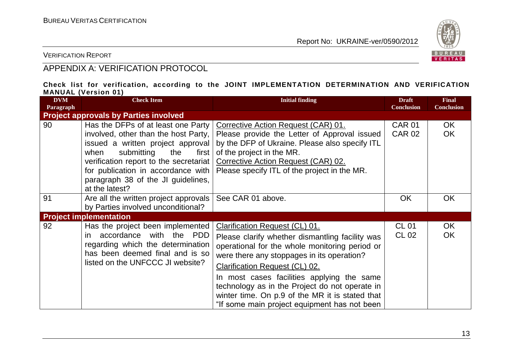

VERIFICATION REPORT

### APPENDIX A: VERIFICATION PROTOCOL

#### **Check list for verification, according to the JOINT IMPLEMENTATION DETERMINATION AND VERIFICATION MANUAL (Version 01)**

| <b>DVM</b><br>Paragraph | <b>Check Item</b>                                                                                                                                                                                                                                                                               | <b>Initial finding</b>                                                                                                                                                                                                                                                                                                                                                                                                        | <b>Draft</b><br><b>Conclusion</b> | <b>Final</b><br><b>Conclusion</b> |
|-------------------------|-------------------------------------------------------------------------------------------------------------------------------------------------------------------------------------------------------------------------------------------------------------------------------------------------|-------------------------------------------------------------------------------------------------------------------------------------------------------------------------------------------------------------------------------------------------------------------------------------------------------------------------------------------------------------------------------------------------------------------------------|-----------------------------------|-----------------------------------|
|                         | <b>Project approvals by Parties involved</b>                                                                                                                                                                                                                                                    |                                                                                                                                                                                                                                                                                                                                                                                                                               |                                   |                                   |
| 90                      | Has the DFPs of at least one Party<br>involved, other than the host Party,<br>issued a written project approval<br>submitting<br>when<br>the<br>first  <br>verification report to the secretariat<br>for publication in accordance with<br>paragraph 38 of the JI guidelines,<br>at the latest? | Corrective Action Request (CAR) 01.<br>Please provide the Letter of Approval issued<br>by the DFP of Ukraine. Please also specify ITL<br>of the project in the MR.<br>Corrective Action Request (CAR) 02.<br>Please specify ITL of the project in the MR.                                                                                                                                                                     | <b>CAR 01</b><br><b>CAR 02</b>    | OK.<br><b>OK</b>                  |
| 91                      | Are all the written project approvals<br>by Parties involved unconditional?                                                                                                                                                                                                                     | See CAR 01 above.                                                                                                                                                                                                                                                                                                                                                                                                             | <b>OK</b>                         | <b>OK</b>                         |
|                         | <b>Project implementation</b>                                                                                                                                                                                                                                                                   |                                                                                                                                                                                                                                                                                                                                                                                                                               |                                   |                                   |
| 92                      | Has the project been implemented<br>accordance with the PDD<br>in.<br>regarding which the determination<br>has been deemed final and is so<br>listed on the UNFCCC JI website?                                                                                                                  | Clarification Request (CL) 01.<br>Please clarify whether dismantling facility was<br>operational for the whole monitoring period or<br>were there any stoppages in its operation?<br><b>Clarification Request (CL) 02.</b><br>In most cases facilities applying the same<br>technology as in the Project do not operate in<br>winter time. On p.9 of the MR it is stated that<br>"If some main project equipment has not been | <b>CL 01</b><br>CL 02             | OK<br><b>OK</b>                   |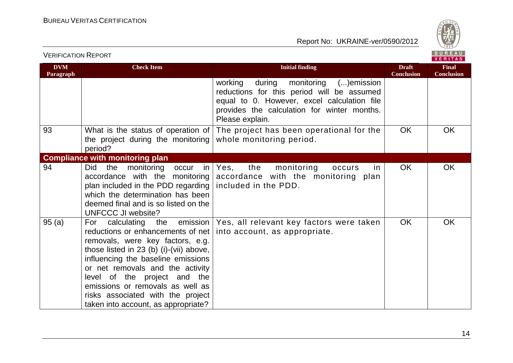

|                         | BUREAU<br><b>VERIFICATION REPORT</b>                                                                                                                                                                                                                                                                                                                          |                                                                                                                                                                                                            |                                   |                                   |
|-------------------------|---------------------------------------------------------------------------------------------------------------------------------------------------------------------------------------------------------------------------------------------------------------------------------------------------------------------------------------------------------------|------------------------------------------------------------------------------------------------------------------------------------------------------------------------------------------------------------|-----------------------------------|-----------------------------------|
| <b>DVM</b><br>Paragraph | <b>Check Item</b>                                                                                                                                                                                                                                                                                                                                             | <b>Initial finding</b>                                                                                                                                                                                     | <b>Draft</b><br><b>Conclusion</b> | <b>Final</b><br><b>Conclusion</b> |
|                         |                                                                                                                                                                                                                                                                                                                                                               | monitoring () emission<br>working<br>during<br>reductions for this period will be assumed<br>equal to 0. However, excel calculation file<br>provides the calculation for winter months.<br>Please explain. |                                   |                                   |
| 93                      | What is the status of operation of<br>the project during the monitoring<br>period?                                                                                                                                                                                                                                                                            | The project has been operational for the<br>whole monitoring period.                                                                                                                                       | <b>OK</b>                         | <b>OK</b>                         |
|                         | <b>Compliance with monitoring plan</b>                                                                                                                                                                                                                                                                                                                        |                                                                                                                                                                                                            |                                   |                                   |
| 94                      | Did<br>the<br>monitoring<br>occur<br>in<br>accordance with the monitoring<br>plan included in the PDD regarding<br>which the determination has been<br>deemed final and is so listed on the<br>UNFCCC JI website?                                                                                                                                             | the<br>monitoring<br>Yes,<br>occurs<br>in.<br>accordance with the monitoring plan<br>included in the PDD.                                                                                                  | <b>OK</b>                         | <b>OK</b>                         |
| 95(a)                   | For calculating<br>reductions or enhancements of net<br>removals, were key factors, e.g.<br>those listed in 23 (b) (i)-(vii) above,<br>influencing the baseline emissions<br>or net removals and the activity<br>level of the project and the<br>emissions or removals as well as<br>risks associated with the project<br>taken into account, as appropriate? | the emission   Yes, all relevant key factors were taken<br>into account, as appropriate.                                                                                                                   | OK                                | <b>OK</b>                         |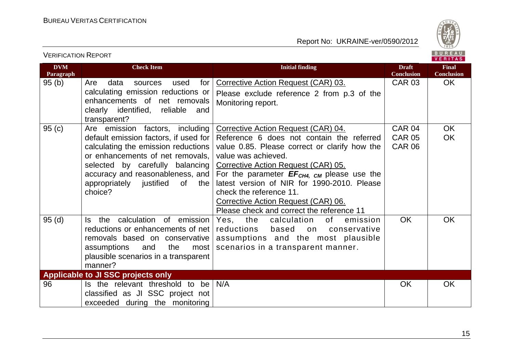

|                         |                                                                                                                                                                                                                                                                                 |                                                                                                                                                                                                                                                                                                                                                                                                                         |                                                 | <b>VERIIAS</b>                    |
|-------------------------|---------------------------------------------------------------------------------------------------------------------------------------------------------------------------------------------------------------------------------------------------------------------------------|-------------------------------------------------------------------------------------------------------------------------------------------------------------------------------------------------------------------------------------------------------------------------------------------------------------------------------------------------------------------------------------------------------------------------|-------------------------------------------------|-----------------------------------|
| <b>DVM</b><br>Paragraph | <b>Check Item</b>                                                                                                                                                                                                                                                               | <b>Initial finding</b>                                                                                                                                                                                                                                                                                                                                                                                                  | <b>Draft</b><br><b>Conclusion</b>               | <b>Final</b><br><b>Conclusion</b> |
| 95(b)                   | data<br>for<br>Are<br>used<br>sources<br>calculating emission reductions or<br>enhancements of net removals<br>clearly identified, reliable<br>and<br>transparent?                                                                                                              | Corrective Action Request (CAR) 03.<br>Please exclude reference 2 from p.3 of the<br>Monitoring report.                                                                                                                                                                                                                                                                                                                 | <b>CAR 03</b>                                   | OK.                               |
| 95(c)                   | Are emission factors, including<br>default emission factors, if used for<br>calculating the emission reductions<br>or enhancements of net removals,<br>selected by carefully balancing<br>accuracy and reasonableness, and<br>appropriately justified<br>of .<br>the<br>choice? | Corrective Action Request (CAR) 04.<br>Reference 6 does not contain the referred<br>value 0.85. Please correct or clarify how the<br>value was achieved.<br><b>Corrective Action Request (CAR) 05.</b><br>For the parameter $EF_{CH4, CM}$ please use the<br>latest version of NIR for 1990-2010. Please<br>check the reference 11.<br>Corrective Action Request (CAR) 06.<br>Please check and correct the reference 11 | <b>CAR 04</b><br><b>CAR 05</b><br><b>CAR 06</b> | <b>OK</b><br><b>OK</b>            |
| 95(d)                   | the calculation of emission<br>ls.<br>reductions or enhancements of net<br>removals based on conservative<br>assumptions<br>the<br>and<br>most<br>plausible scenarios in a transparent<br>manner?                                                                               | Yes, the<br>calculation<br>of<br>emission<br>reductions<br>based<br>on<br>conservative<br>assumptions and the most plausible<br>scenarios in a transparent manner.                                                                                                                                                                                                                                                      | <b>OK</b>                                       | <b>OK</b>                         |
|                         | Applicable to JI SSC projects only                                                                                                                                                                                                                                              |                                                                                                                                                                                                                                                                                                                                                                                                                         |                                                 |                                   |
| 96                      | Is the relevant threshold to be<br>classified as JI SSC project not<br>exceeded during the monitoring                                                                                                                                                                           | N/A                                                                                                                                                                                                                                                                                                                                                                                                                     | <b>OK</b>                                       | <b>OK</b>                         |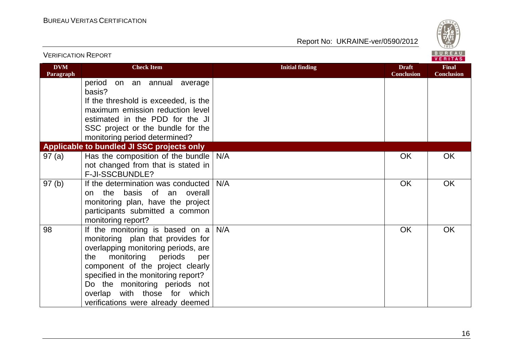

| VERIFICATION REPORT     |                                                                                                                                                                                                                                                                                                                                                |                        |                                   | <b>VERITAS</b>                    |
|-------------------------|------------------------------------------------------------------------------------------------------------------------------------------------------------------------------------------------------------------------------------------------------------------------------------------------------------------------------------------------|------------------------|-----------------------------------|-----------------------------------|
| <b>DVM</b><br>Paragraph | <b>Check Item</b>                                                                                                                                                                                                                                                                                                                              | <b>Initial finding</b> | <b>Draft</b><br><b>Conclusion</b> | <b>Final</b><br><b>Conclusion</b> |
|                         | period<br>on an annual average<br>basis?                                                                                                                                                                                                                                                                                                       |                        |                                   |                                   |
|                         | If the threshold is exceeded, is the<br>maximum emission reduction level                                                                                                                                                                                                                                                                       |                        |                                   |                                   |
|                         | estimated in the PDD for the JI                                                                                                                                                                                                                                                                                                                |                        |                                   |                                   |
|                         | SSC project or the bundle for the<br>monitoring period determined?                                                                                                                                                                                                                                                                             |                        |                                   |                                   |
|                         | Applicable to bundled JI SSC projects only                                                                                                                                                                                                                                                                                                     |                        |                                   |                                   |
| 97(a)                   | Has the composition of the bundle $\vert$ N/A<br>not changed from that is stated in<br>F-JI-SSCBUNDLE?                                                                                                                                                                                                                                         |                        | OK                                | <b>OK</b>                         |
| 97(b)                   | If the determination was conducted<br>on the basis of an overall<br>monitoring plan, have the project<br>participants submitted a common<br>monitoring report?                                                                                                                                                                                 | N/A                    | OK                                | OK                                |
| 98                      | If the monitoring is based on $a \mid N/A$<br>monitoring plan that provides for<br>overlapping monitoring periods, are<br>monitoring<br>periods<br>the<br>per<br>component of the project clearly<br>specified in the monitoring report?<br>Do the monitoring periods not<br>overlap with those for which<br>verifications were already deemed |                        | OK                                | OK                                |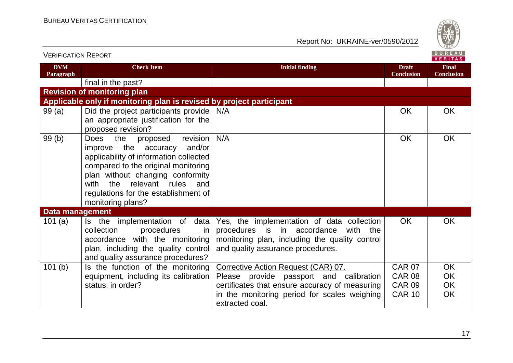

| VERIFICATION INEPURT    |                                                                                                                                                                                                                                                                                                           |                                                                                                                                                                                 |                                   | VERITAS                           |
|-------------------------|-----------------------------------------------------------------------------------------------------------------------------------------------------------------------------------------------------------------------------------------------------------------------------------------------------------|---------------------------------------------------------------------------------------------------------------------------------------------------------------------------------|-----------------------------------|-----------------------------------|
| <b>DVM</b><br>Paragraph | <b>Check Item</b>                                                                                                                                                                                                                                                                                         | <b>Initial finding</b>                                                                                                                                                          | <b>Draft</b><br><b>Conclusion</b> | <b>Final</b><br><b>Conclusion</b> |
|                         | final in the past?                                                                                                                                                                                                                                                                                        |                                                                                                                                                                                 |                                   |                                   |
|                         | <b>Revision of monitoring plan</b>                                                                                                                                                                                                                                                                        |                                                                                                                                                                                 |                                   |                                   |
|                         | Applicable only if monitoring plan is revised by project participant                                                                                                                                                                                                                                      |                                                                                                                                                                                 |                                   |                                   |
| 99(a)                   | Did the project participants provide<br>an appropriate justification for the<br>proposed revision?                                                                                                                                                                                                        | N/A                                                                                                                                                                             | OK                                | OK                                |
| 99(b)                   | the<br>revision<br><b>Does</b><br>proposed<br>improve the accuracy<br>and/or<br>applicability of information collected<br>compared to the original monitoring<br>plan without changing conformity<br>the<br>relevant<br>rules<br>with<br>and<br>regulations for the establishment of<br>monitoring plans? | N/A                                                                                                                                                                             | <b>OK</b>                         | <b>OK</b>                         |
| Data management         |                                                                                                                                                                                                                                                                                                           |                                                                                                                                                                                 |                                   |                                   |
| 101 $(a)$               | Is the implementation of data<br>procedures<br>collection<br>in<br>accordance with the monitoring<br>plan, including the quality control<br>and quality assurance procedures?                                                                                                                             | Yes, the implementation of data collection<br>procedures is in accordance<br>with<br>the<br>monitoring plan, including the quality control<br>and quality assurance procedures. | <b>OK</b>                         | OK                                |
| 101(b)                  | Is the function of the monitoring                                                                                                                                                                                                                                                                         | Corrective Action Request (CAR) 07.                                                                                                                                             | <b>CAR 07</b>                     | OK                                |
|                         | equipment, including its calibration                                                                                                                                                                                                                                                                      | Please provide passport and calibration                                                                                                                                         | <b>CAR 08</b>                     | OK                                |
|                         | status, in order?                                                                                                                                                                                                                                                                                         | certificates that ensure accuracy of measuring                                                                                                                                  | <b>CAR 09</b>                     | OK                                |
|                         |                                                                                                                                                                                                                                                                                                           | in the monitoring period for scales weighing<br>extracted coal.                                                                                                                 | <b>CAR 10</b>                     | OK                                |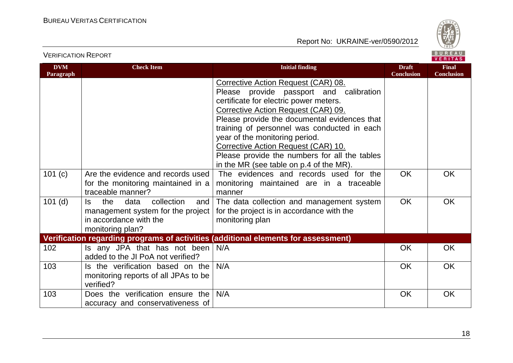



VERIFICATION REPORT

| <b>DVM</b><br>Paragraph | <b>Check Item</b>                                                                                                          | <b>Initial finding</b>                                                                                                                                                                                                                                                                                                                                                                                                                                                        | <b>Draft</b><br><b>Conclusion</b> | <b>Final</b><br><b>Conclusion</b> |
|-------------------------|----------------------------------------------------------------------------------------------------------------------------|-------------------------------------------------------------------------------------------------------------------------------------------------------------------------------------------------------------------------------------------------------------------------------------------------------------------------------------------------------------------------------------------------------------------------------------------------------------------------------|-----------------------------------|-----------------------------------|
| 101(c)                  | Are the evidence and records used                                                                                          | Corrective Action Request (CAR) 08.<br>Please provide passport and calibration<br>certificate for electric power meters.<br>Corrective Action Request (CAR) 09.<br>Please provide the documental evidences that<br>training of personnel was conducted in each<br>year of the monitoring period.<br>Corrective Action Request (CAR) 10.<br>Please provide the numbers for all the tables<br>in the MR (see table on p.4 of the MR).<br>The evidences and records used for the | <b>OK</b>                         | <b>OK</b>                         |
|                         | for the monitoring maintained in a<br>traceable manner?                                                                    | monitoring maintained are in a traceable<br>manner                                                                                                                                                                                                                                                                                                                                                                                                                            |                                   |                                   |
| $101$ (d)               | the<br>data<br>collection<br>ls.<br>and<br>management system for the project<br>in accordance with the<br>monitoring plan? | The data collection and management system<br>for the project is in accordance with the<br>monitoring plan                                                                                                                                                                                                                                                                                                                                                                     | <b>OK</b>                         | <b>OK</b>                         |
|                         |                                                                                                                            | Verification regarding programs of activities (additional elements for assessment)                                                                                                                                                                                                                                                                                                                                                                                            |                                   |                                   |
| 102                     | Is any JPA that has not been<br>added to the JI PoA not verified?                                                          | N/A                                                                                                                                                                                                                                                                                                                                                                                                                                                                           | <b>OK</b>                         | <b>OK</b>                         |
| 103                     | Is the verification based on the<br>monitoring reports of all JPAs to be<br>verified?                                      | N/A                                                                                                                                                                                                                                                                                                                                                                                                                                                                           | <b>OK</b>                         | <b>OK</b>                         |
| 103                     | Does the verification ensure the<br>accuracy and conservativeness of                                                       | N/A                                                                                                                                                                                                                                                                                                                                                                                                                                                                           | <b>OK</b>                         | <b>OK</b>                         |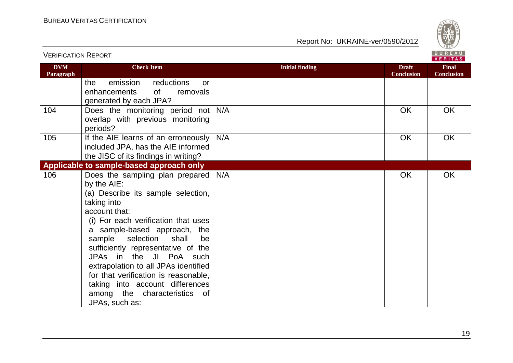

|                         |                                                                                                                                                                                                                                                                                                                                                                                                                                                                                   |                        |                                   | . <u>.</u>                        |
|-------------------------|-----------------------------------------------------------------------------------------------------------------------------------------------------------------------------------------------------------------------------------------------------------------------------------------------------------------------------------------------------------------------------------------------------------------------------------------------------------------------------------|------------------------|-----------------------------------|-----------------------------------|
| <b>DVM</b><br>Paragraph | <b>Check Item</b>                                                                                                                                                                                                                                                                                                                                                                                                                                                                 | <b>Initial finding</b> | <b>Draft</b><br><b>Conclusion</b> | <b>Final</b><br><b>Conclusion</b> |
|                         | emission<br>reductions<br>the<br><b>or</b><br>of<br>removals<br>enhancements<br>generated by each JPA?                                                                                                                                                                                                                                                                                                                                                                            |                        |                                   |                                   |
| 104                     | Does the monitoring period not N/A<br>overlap with previous monitoring<br>periods?                                                                                                                                                                                                                                                                                                                                                                                                |                        | <b>OK</b>                         | <b>OK</b>                         |
| 105                     | If the AIE learns of an erroneously<br>included JPA, has the AIE informed<br>the JISC of its findings in writing?                                                                                                                                                                                                                                                                                                                                                                 | N/A                    | <b>OK</b>                         | <b>OK</b>                         |
|                         | Applicable to sample-based approach only                                                                                                                                                                                                                                                                                                                                                                                                                                          |                        |                                   |                                   |
| 106                     | Does the sampling plan prepared   N/A<br>by the AIE:<br>(a) Describe its sample selection,<br>taking into<br>account that:<br>(i) For each verification that uses<br>a sample-based approach, the<br>selection<br>shall<br>sample<br>be<br>sufficiently representative of the<br>JPAs in the JI PoA such<br>extrapolation to all JPAs identified<br>for that verification is reasonable,<br>taking into account differences<br>among the characteristics<br>_of<br>JPAs, such as: |                        | OK                                | OK                                |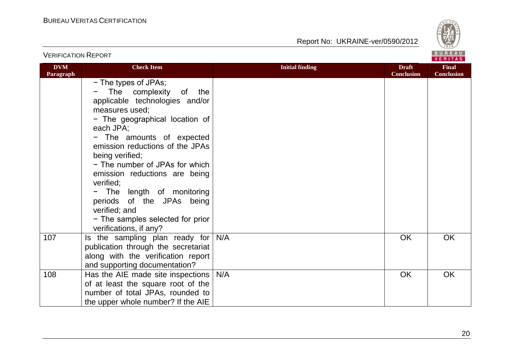

|                         |                                                                                                                                                                                                                                                                                                                                                                                                                                                                                        |                        |                                   | <b>VERIIAS</b>                    |
|-------------------------|----------------------------------------------------------------------------------------------------------------------------------------------------------------------------------------------------------------------------------------------------------------------------------------------------------------------------------------------------------------------------------------------------------------------------------------------------------------------------------------|------------------------|-----------------------------------|-----------------------------------|
| <b>DVM</b><br>Paragraph | <b>Check Item</b>                                                                                                                                                                                                                                                                                                                                                                                                                                                                      | <b>Initial finding</b> | <b>Draft</b><br><b>Conclusion</b> | <b>Final</b><br><b>Conclusion</b> |
|                         | - The types of JPAs;<br>The complexity<br>of<br>the<br>applicable technologies and/or<br>measures used;<br>- The geographical location of<br>each JPA;<br>- The amounts of expected<br>emission reductions of the JPAs<br>being verified;<br>- The number of JPAs for which<br>emission reductions are being<br>verified;<br>The length of monitoring<br>$\qquad \qquad -$<br>periods of the JPAs being<br>verified; and<br>- The samples selected for prior<br>verifications, if any? |                        |                                   |                                   |
| 107                     | Is the sampling plan ready for<br>publication through the secretariat<br>along with the verification report<br>and supporting documentation?                                                                                                                                                                                                                                                                                                                                           | N/A                    | OK                                | <b>OK</b>                         |
| 108                     | Has the AIE made site inspections<br>of at least the square root of the<br>number of total JPAs, rounded to<br>the upper whole number? If the AIE                                                                                                                                                                                                                                                                                                                                      | N/A                    | OK                                | OK                                |

VERIFICATION REPORT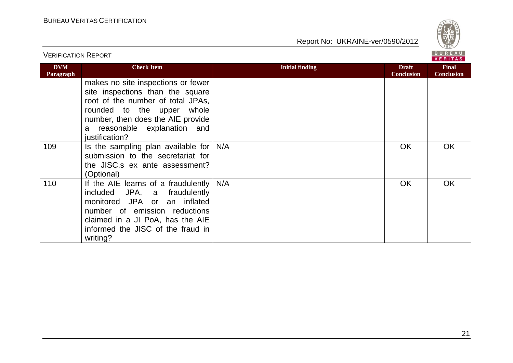

|                         |                                                                                                                                                                                                                                  |                        | <b>VERITAS</b>                    |                                   |
|-------------------------|----------------------------------------------------------------------------------------------------------------------------------------------------------------------------------------------------------------------------------|------------------------|-----------------------------------|-----------------------------------|
| <b>DVM</b><br>Paragraph | <b>Check Item</b>                                                                                                                                                                                                                | <b>Initial finding</b> | <b>Draft</b><br><b>Conclusion</b> | <b>Final</b><br><b>Conclusion</b> |
|                         | makes no site inspections or fewer<br>site inspections than the square<br>root of the number of total JPAs,<br>rounded to the upper whole<br>number, then does the AIE provide<br>a reasonable explanation and<br>justification? |                        |                                   |                                   |
| 109                     | Is the sampling plan available for $N/A$<br>submission to the secretariat for<br>the JISC.s ex ante assessment?<br>(Optional)                                                                                                    |                        | <b>OK</b>                         | OK.                               |
| 110                     | If the AIE learns of a fraudulently $N/A$<br>included JPA, a fraudulently<br>monitored JPA or an inflated<br>number of emission reductions<br>claimed in a JI PoA, has the AIE<br>informed the JISC of the fraud in<br>writing?  |                        | <b>OK</b>                         | <b>OK</b>                         |

VERIFICATION REPORT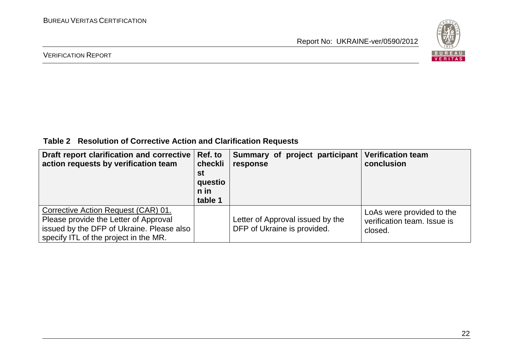

#### VERIFICATION REPORT

**Table 2 Resolution of Corrective Action and Clarification Requests**

| Draft report clarification and corrective<br>action requests by verification team                                                                                  | Ref. to<br>checkli<br>st<br>questio<br>n in<br>table 1 | Summary of project participant<br>response                      | <b>Verification team</b><br>conclusion                              |
|--------------------------------------------------------------------------------------------------------------------------------------------------------------------|--------------------------------------------------------|-----------------------------------------------------------------|---------------------------------------------------------------------|
| Corrective Action Request (CAR) 01.<br>Please provide the Letter of Approval<br>issued by the DFP of Ukraine. Please also<br>specify ITL of the project in the MR. |                                                        | Letter of Approval issued by the<br>DFP of Ukraine is provided. | LoAs were provided to the<br>verification team. Issue is<br>closed. |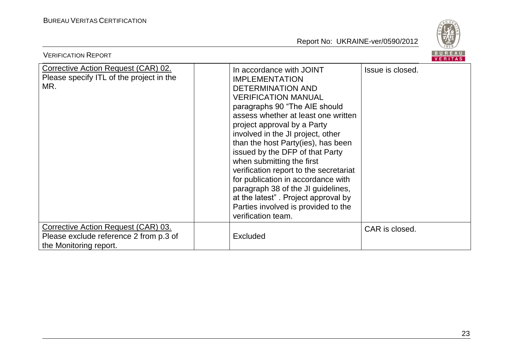

| <b>VERIFICATION REPORT</b>                                                                                     |                                                                                                                                                                                                                                                                                                                                                                                                                                                                                                                                                                                         | BUREAU<br><b>VERITAS</b> |
|----------------------------------------------------------------------------------------------------------------|-----------------------------------------------------------------------------------------------------------------------------------------------------------------------------------------------------------------------------------------------------------------------------------------------------------------------------------------------------------------------------------------------------------------------------------------------------------------------------------------------------------------------------------------------------------------------------------------|--------------------------|
| <b>Corrective Action Request (CAR) 02.</b><br>Please specify ITL of the project in the<br>MR.                  | In accordance with JOINT<br><b>IMPLEMENTATION</b><br><b>DETERMINATION AND</b><br><b>VERIFICATION MANUAL</b><br>paragraphs 90 "The AIE should<br>assess whether at least one written<br>project approval by a Party<br>involved in the JI project, other<br>than the host Party(ies), has been<br>issued by the DFP of that Party<br>when submitting the first<br>verification report to the secretariat<br>for publication in accordance with<br>paragraph 38 of the JI guidelines,<br>at the latest". Project approval by<br>Parties involved is provided to the<br>verification team. | Issue is closed.         |
| <b>Corrective Action Request (CAR) 03.</b><br>Please exclude reference 2 from p.3 of<br>the Monitoring report. | <b>Excluded</b>                                                                                                                                                                                                                                                                                                                                                                                                                                                                                                                                                                         | CAR is closed.           |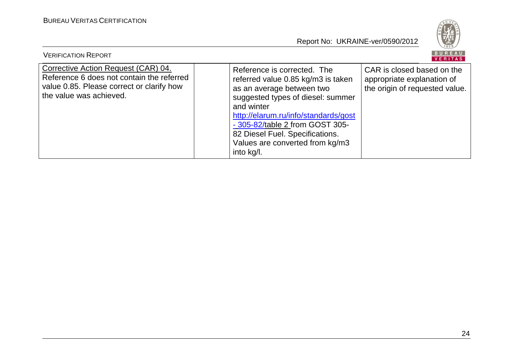

| <b>VERIFICATION REPORT</b>                                                                                                                               |                                                                                                                                                                                                                                                                                                                  | BUREAU<br>VERITAS                                                                          |
|----------------------------------------------------------------------------------------------------------------------------------------------------------|------------------------------------------------------------------------------------------------------------------------------------------------------------------------------------------------------------------------------------------------------------------------------------------------------------------|--------------------------------------------------------------------------------------------|
| Corrective Action Request (CAR) 04.<br>Reference 6 does not contain the referred<br>value 0.85. Please correct or clarify how<br>the value was achieved. | Reference is corrected. The<br>referred value 0.85 kg/m3 is taken<br>as an average between two<br>suggested types of diesel: summer<br>and winter<br>http://elarum.ru/info/standards/gost<br>- 305-82/table 2 from GOST 305-<br>82 Diesel Fuel. Specifications.<br>Values are converted from kg/m3<br>into kg/l. | CAR is closed based on the<br>appropriate explanation of<br>the origin of requested value. |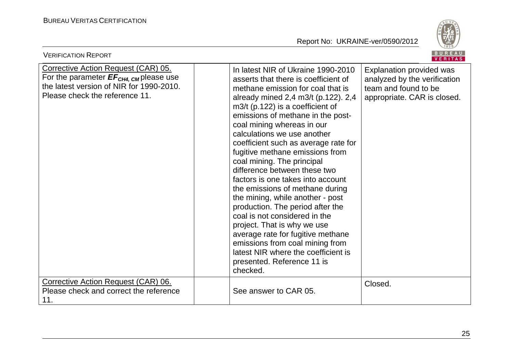

| <b>VERIFICATION REPORT</b>                                                                                                                                                     |                                                                                                                                                                                                                                                                                                                                                                                                                                                                                                                                                                                                                                                                                                                                                                                                                  | BUREAU<br><b>VERITAS</b>                                                                                        |
|--------------------------------------------------------------------------------------------------------------------------------------------------------------------------------|------------------------------------------------------------------------------------------------------------------------------------------------------------------------------------------------------------------------------------------------------------------------------------------------------------------------------------------------------------------------------------------------------------------------------------------------------------------------------------------------------------------------------------------------------------------------------------------------------------------------------------------------------------------------------------------------------------------------------------------------------------------------------------------------------------------|-----------------------------------------------------------------------------------------------------------------|
| <b>Corrective Action Request (CAR) 05.</b><br>For the parameter $EF_{CH4, \text{CM}}$ please use<br>the latest version of NIR for 1990-2010.<br>Please check the reference 11. | In latest NIR of Ukraine 1990-2010<br>asserts that there is coefficient of<br>methane emission for coal that is<br>already mined 2,4 m3/t (p.122). 2,4<br>$m3/t$ (p.122) is a coefficient of<br>emissions of methane in the post-<br>coal mining whereas in our<br>calculations we use another<br>coefficient such as average rate for<br>fugitive methane emissions from<br>coal mining. The principal<br>difference between these two<br>factors is one takes into account<br>the emissions of methane during<br>the mining, while another - post<br>production. The period after the<br>coal is not considered in the<br>project. That is why we use<br>average rate for fugitive methane<br>emissions from coal mining from<br>latest NIR where the coefficient is<br>presented. Reference 11 is<br>checked. | Explanation provided was<br>analyzed by the verification<br>team and found to be<br>appropriate. CAR is closed. |
| Corrective Action Request (CAR) 06.<br>Please check and correct the reference<br>11.                                                                                           | See answer to CAR 05.                                                                                                                                                                                                                                                                                                                                                                                                                                                                                                                                                                                                                                                                                                                                                                                            | Closed.                                                                                                         |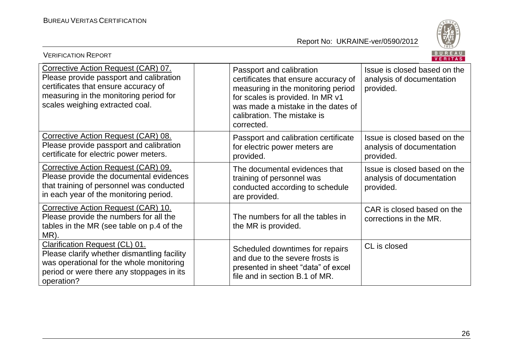

| <b>VERIFICATION REPORT</b>                                                                                                                                                                          |                                                                                                                                                                                                                               | <b>BUREAU</b><br><b>VERITAS</b>                                        |
|-----------------------------------------------------------------------------------------------------------------------------------------------------------------------------------------------------|-------------------------------------------------------------------------------------------------------------------------------------------------------------------------------------------------------------------------------|------------------------------------------------------------------------|
| Corrective Action Request (CAR) 07.<br>Please provide passport and calibration<br>certificates that ensure accuracy of<br>measuring in the monitoring period for<br>scales weighing extracted coal. | Passport and calibration<br>certificates that ensure accuracy of<br>measuring in the monitoring period<br>for scales is provided. In MR v1<br>was made a mistake in the dates of<br>calibration. The mistake is<br>corrected. | Issue is closed based on the<br>analysis of documentation<br>provided. |
| Corrective Action Request (CAR) 08.<br>Please provide passport and calibration<br>certificate for electric power meters.                                                                            | Passport and calibration certificate<br>for electric power meters are<br>provided.                                                                                                                                            | Issue is closed based on the<br>analysis of documentation<br>provided. |
| Corrective Action Request (CAR) 09.<br>Please provide the documental evidences<br>that training of personnel was conducted<br>in each year of the monitoring period.                                | The documental evidences that<br>training of personnel was<br>conducted according to schedule<br>are provided.                                                                                                                | Issue is closed based on the<br>analysis of documentation<br>provided. |
| Corrective Action Request (CAR) 10.<br>Please provide the numbers for all the<br>tables in the MR (see table on p.4 of the<br>MR).                                                                  | The numbers for all the tables in<br>the MR is provided.                                                                                                                                                                      | CAR is closed based on the<br>corrections in the MR.                   |
| <b>Clarification Request (CL) 01.</b><br>Please clarify whether dismantling facility<br>was operational for the whole monitoring<br>period or were there any stoppages in its<br>operation?         | Scheduled downtimes for repairs<br>and due to the severe frosts is<br>presented in sheet "data" of excel<br>file and in section B.1 of MR.                                                                                    | CL is closed                                                           |